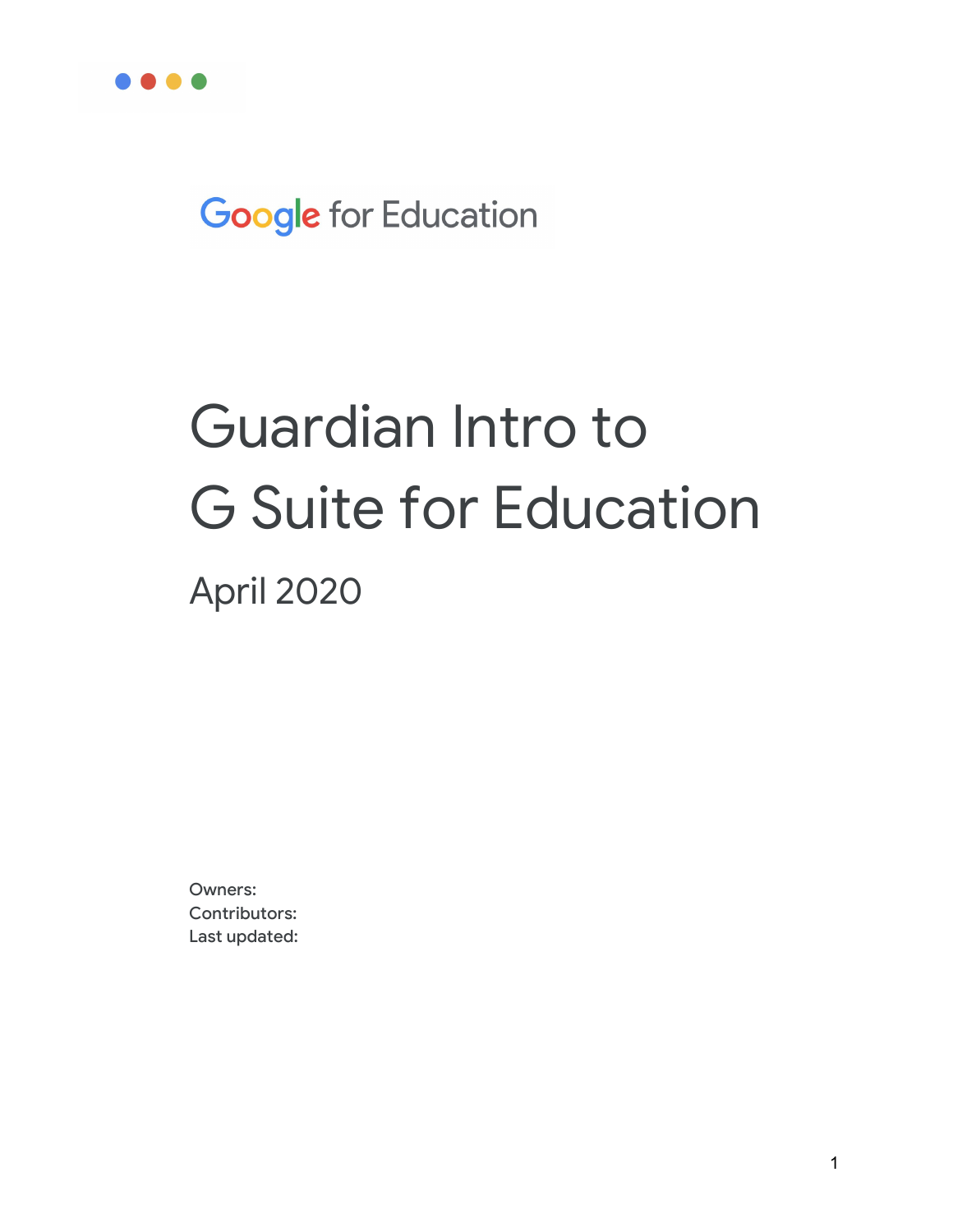

**Google** for Education

# Guardian Intro to G Suite for Education April 2020

Owners: Contributors: Last updated: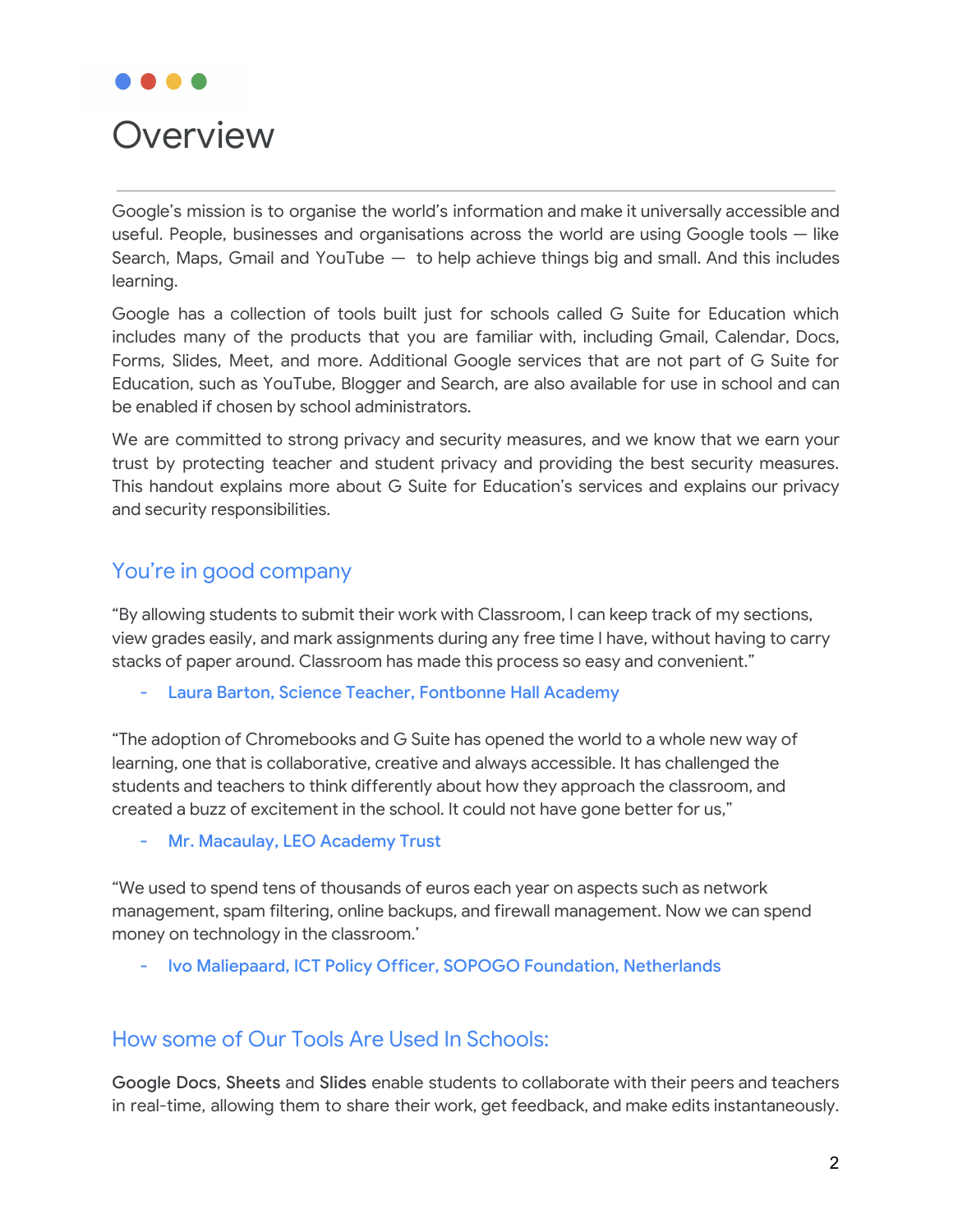

# **Overview**

Google's mission is to organise the world's information and make it universally accessible and useful. People, businesses and organisations across the world are using Google tools — like Search, Maps, Gmail and YouTube  $-$  to help achieve things big and small. And this includes learning.

Google has a collection of tools built just for schools called G Suite for Education which includes many of the products that you are familiar with, including Gmail, Calendar, Docs, Forms, Slides, Meet, and more. Additional Google services that are not part of G Suite for Education, such as YouTube, Blogger and Search, are also available for use in school and can be enabled if chosen by school administrators.

We are committed to strong privacy and security measures, and we know that we earn your trust by protecting teacher and student privacy and providing the best security measures. This handout explains more about G Suite for Education's services and explains our privacy and security responsibilities.

# You're in good company

"By allowing students to submit their work with Classroom, I can keep track of my sections, view grades easily, and mark assignments during any free time I have, without having to carry stacks of paper around. Classroom has made this process so easy and convenient."

- Laura Barton, Science Teacher, Fontbonne Hall Academy

"The adoption of Chromebooks and G Suite has opened the world to a whole new way of learning, one that is collaborative, creative and always accessible. It has challenged the students and teachers to think differently about how they approach the classroom, and created a buzz of excitement in the school. It could not have gone better for us,"

- Mr. Macaulay, LEO Academy Trust

"We used to spend tens of thousands of euros each year on aspects such as network management, spam filtering, online backups, and firewall management. Now we can spend money on technology in the classroom.'

- Ivo Maliepaard, ICT Policy Officer, SOPOGO Foundation, Netherlands

## How some of Our Tools Are Used In Schools:

Google Docs, Sheets and Slides enable students to collaborate with their peers and teachers in real-time, allowing them to share their work, get feedback, and make edits instantaneously.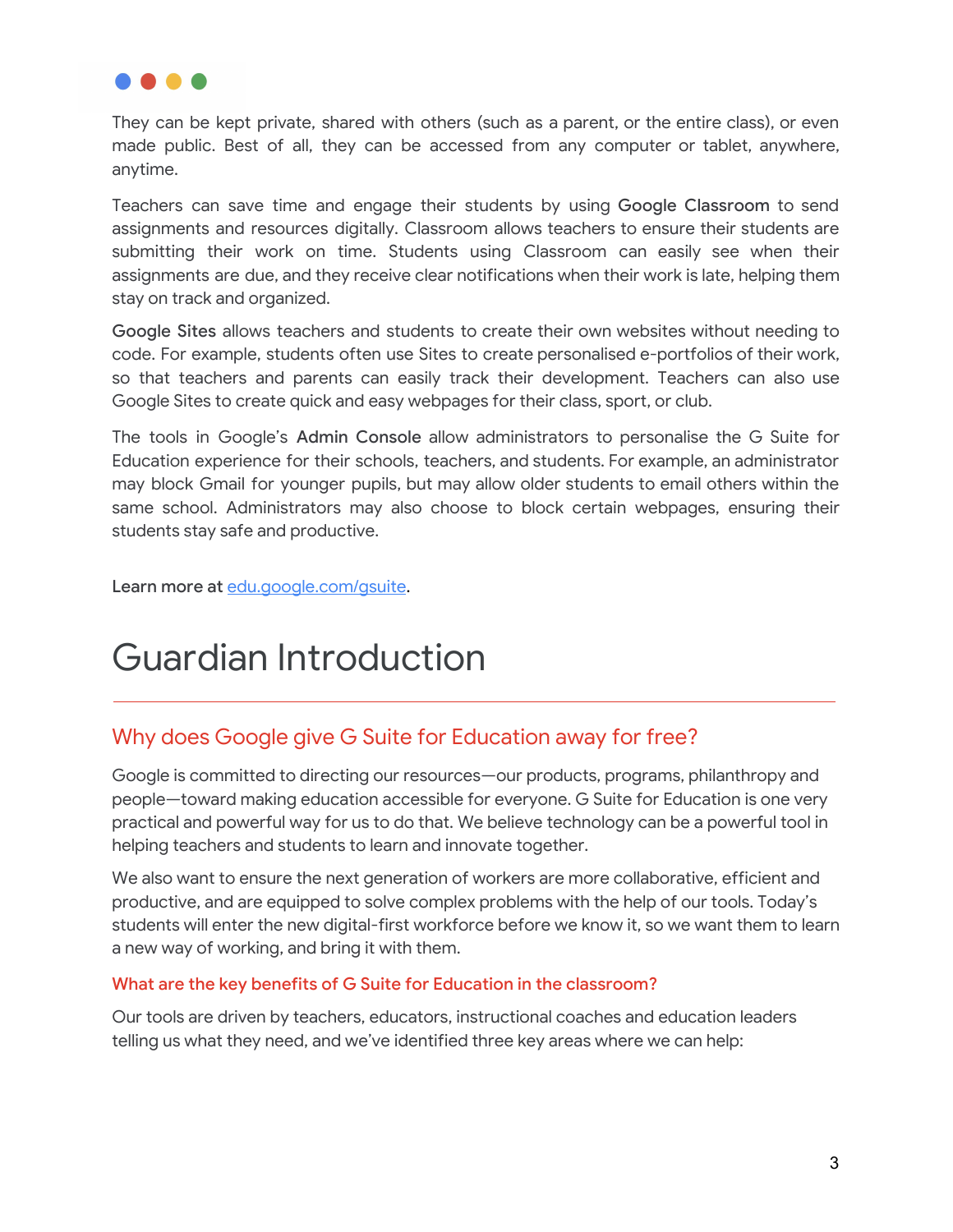

They can be kept private, shared with others (such as a parent, or the entire class), or even made public. Best of all, they can be accessed from any computer or tablet, anywhere, anytime.

Teachers can save time and engage their students by using Google Classroom to send assignments and resources digitally. Classroom allows teachers to ensure their students are submitting their work on time. Students using Classroom can easily see when their assignments are due, and they receive clear notifications when their work is late, helping them stay on track and organized.

Google Sites allows teachers and students to create their own websites without needing to code. For example, students often use Sites to create personalised e-portfolios of their work, so that teachers and parents can easily track their development. Teachers can also use Google Sites to create quick and easy webpages for their class, sport, or club.

The tools in Google's Admin Console allow administrators to personalise the G Suite for Education experience for their schools, teachers, and students. For example, an administrator may block Gmail for younger pupils, but may allow older students to email others within the same school. Administrators may also choose to block certain webpages, ensuring their students stay safe and productive.

Learn more at [edu.google.com/gsuite](http://edu.google.com/gsuite).

# Guardian Introduction

# Why does Google give G Suite for Education away for free?

Google is committed to directing our resources—our products, programs, philanthropy and people—toward making education accessible for everyone. G Suite for Education is one very practical and powerful way for us to do that. We believe technology can be a powerful tool in helping teachers and students to learn and innovate together.

We also want to ensure the next generation of workers are more collaborative, efficient and productive, and are equipped to solve complex problems with the help of our tools. Today's students will enter the new digital-first workforce before we know it, so we want them to learn a new way of working, and bring it with them.

### What are the key benefits of G Suite for Education in the classroom?

Our tools are driven by teachers, educators, instructional coaches and education leaders telling us what they need, and we've identified three key areas where we can help: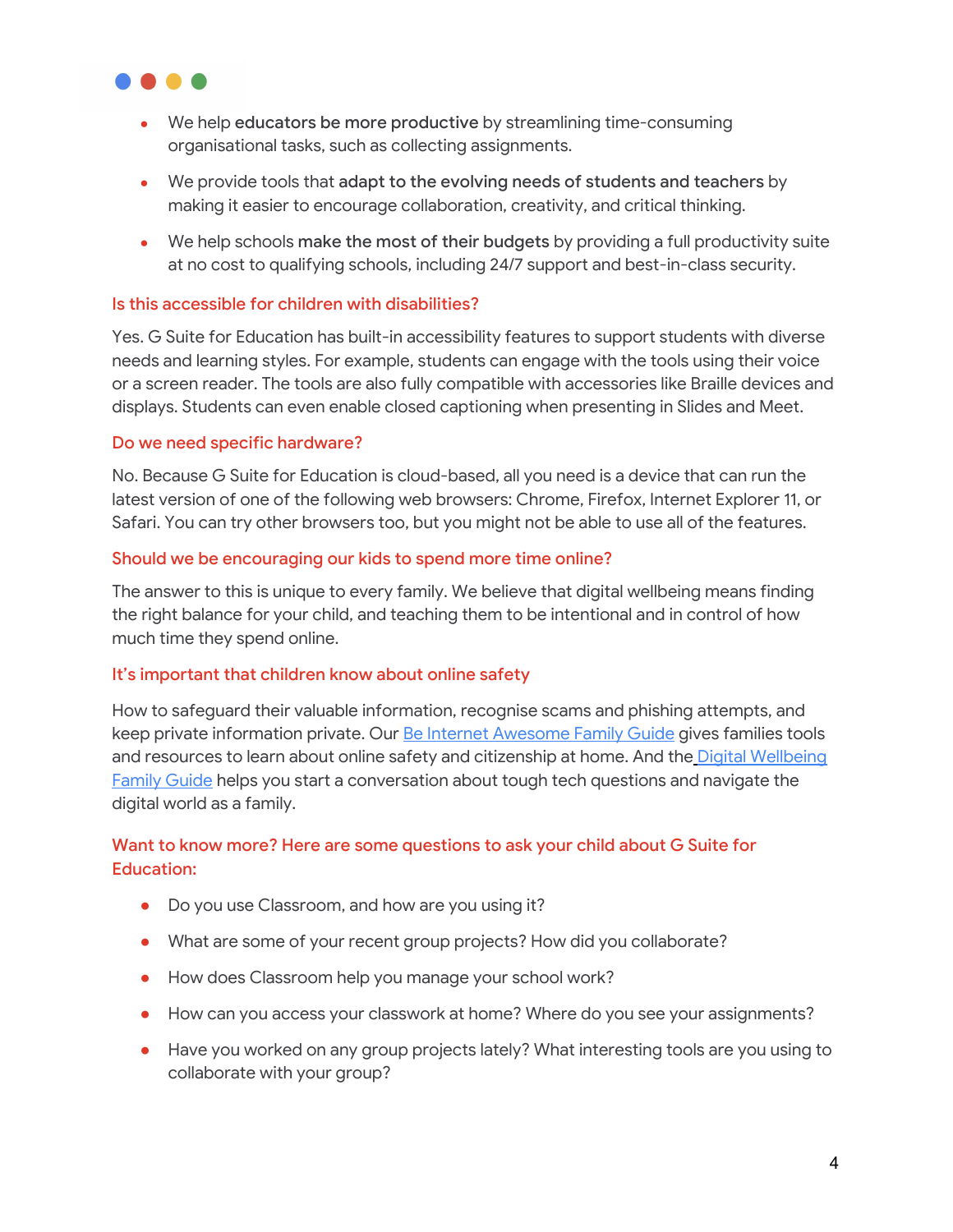

- We help educators be more productive by streamlining time-consuming organisational tasks, such as collecting assignments.
- We provide tools that adapt to the evolving needs of students and teachers by making it easier to encourage collaboration, creativity, and critical thinking.
- We help schools make the most of their budgets by providing a full productivity suite at no cost to qualifying schools, including 24/7 support and best-in-class security.

### Is this accessible for children with disabilities?

Yes. G Suite for Education has built-in accessibility features to support students with diverse needs and learning styles. For example, students can engage with the tools using their voice or a screen reader. The tools are also fully compatible with accessories like Braille devices and displays. Students can even enable closed captioning when presenting in Slides and Meet.

#### Do we need specific hardware?

No. Because G Suite for Education is cloud-based, all you need is a device that can run the latest version of one of the following web browsers: Chrome, Firefox, Internet Explorer 11, or Safari. You can try other browsers too, but you might not be able to use all of the features.

#### Should we be encouraging our kids to spend more time online?

The answer to this is unique to every family. We believe that digital wellbeing means finding the right balance for your child, and teaching them to be intentional and in control of how much time they spend online.

#### It's important that children know about online safety

How to safeguard their valuable information, recognise scams and phishing attempts, and keep private information private. Our **Be Internet [Awesome](https://storage.googleapis.com/gweb-interland.appspot.com/en-us/hub/pdfs/Google_BeInternetAwesome_DigitalCitizenshipSafety_FamilyGuide.pdf) Family Guide gives families tools** and resources to learn about online safety and citizenship at home. And the Digital [Wellbeing](https://storage.googleapis.com/gweb-interland.appspot.com/en-us/hub/pdfs/Google_Digital_Wellbeing_Family_Guide.pdf) [Family](https://storage.googleapis.com/gweb-interland.appspot.com/en-us/hub/pdfs/Google_Digital_Wellbeing_Family_Guide.pdf) Guide helps you start a conversation about tough tech questions and navigate the digital world as a family.

### Want to know more? Here are some questions to ask your child about G Suite for Education:

- Do you use Classroom, and how are you using it?
- What are some of your recent group projects? How did you collaborate?
- How does Classroom help you manage your school work?
- How can you access your classwork at home? Where do you see your assignments?
- Have you worked on any group projects lately? What interesting tools are you using to collaborate with your group?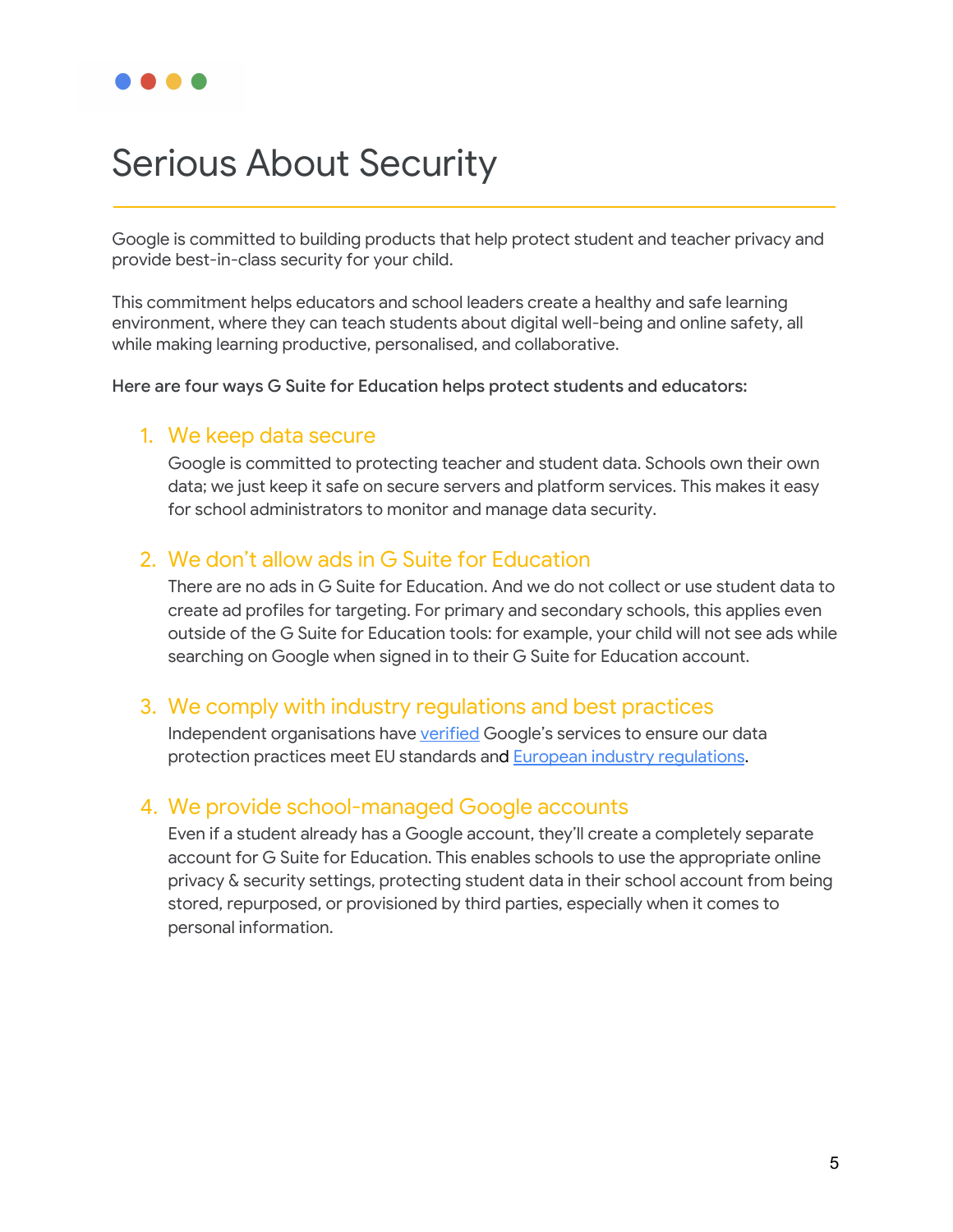# Serious About Security

Google is committed to building products that help protect student and teacher privacy and provide best-in-class security for your child.

This commitment helps educators and school leaders create a healthy and safe learning environment, where they can teach students about digital well-being and online safety, all while making learning productive, personalised, and collaborative.

Here are four ways G Suite for Education helps protect students and educators:

### 1. We keep data secure

Google is committed to protecting teacher and student data. Schools own their own data; we just keep it safe on secure servers and platform services. This makes it easy for school administrators to monitor and manage data security.

### 2. We don't allow ads in G Suite for Education

There are no ads in G Suite for Education. And we do not collect or use student data to create ad profiles for targeting. For primary and secondary schools, this applies even outside of the G Suite for Education tools: for example, your child will not see ads while searching on Google when signed in to their G Suite for Education account.

## 3. We comply with industry regulations and best practices

Independent organisations have [verified](https://www.blog.google/topics/google-cloud/eu-data-protection-authorities-confirm-compliance-google-cloud-commitments-international-data-flows/) Google's services to ensure our data protection practices meet EU standards and **European industry requlations**.

## 4. We provide school-managed Google accounts

Even if a student already has a Google account, they'll create a completely separate account for G Suite for Education. This enables schools to use the appropriate online privacy & security settings, protecting student data in their school account from being stored, repurposed, or provisioned by third parties, especially when it comes to personal information.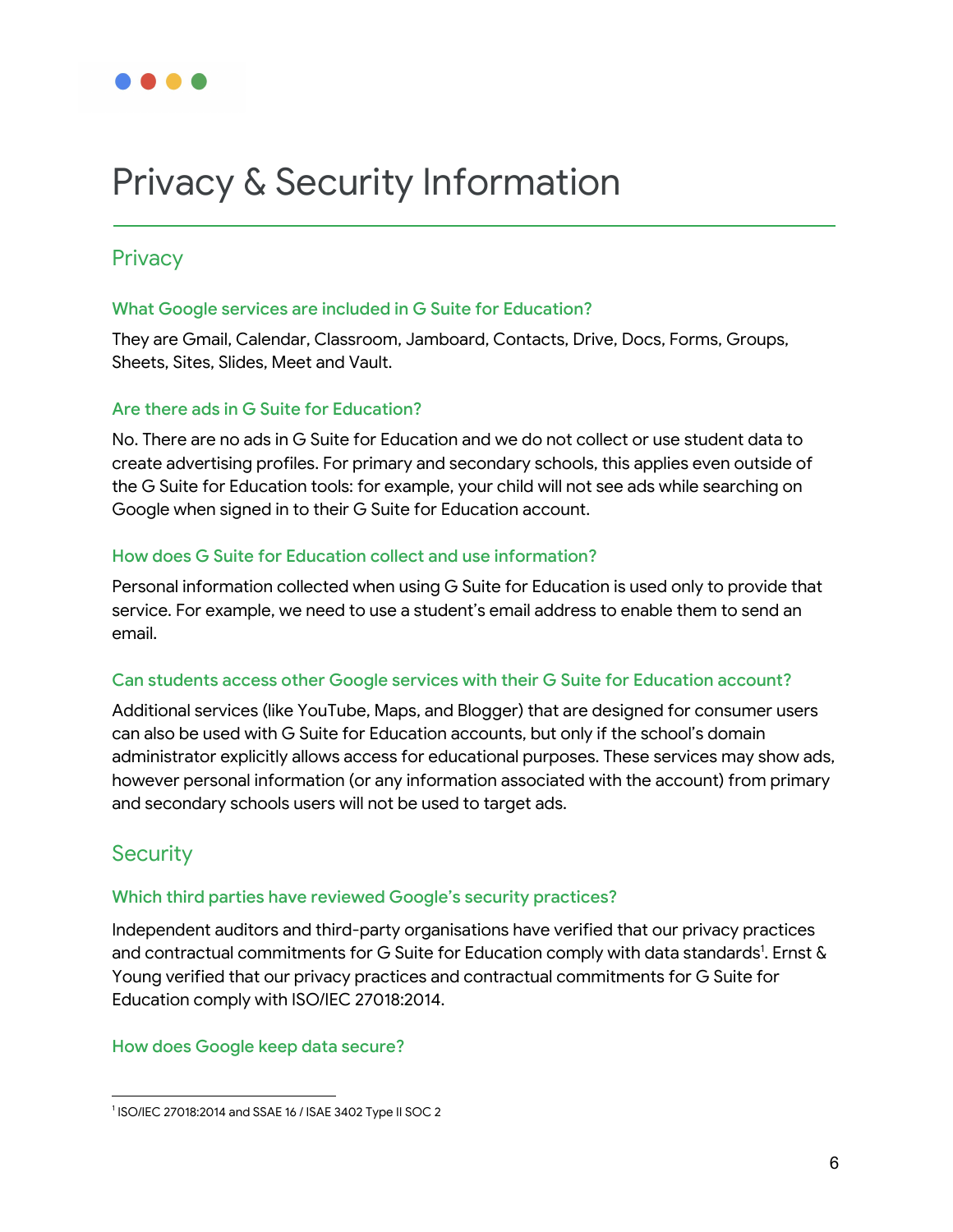# Privacy & Security Information

# **Privacy**

### What Google services are included in G Suite for Education?

They are Gmail, Calendar, Classroom, Jamboard, Contacts, Drive, Docs, Forms, Groups, Sheets, Sites, Slides, Meet and Vault.

### Are there ads in G Suite for Education?

No. There are no ads in G Suite for Education and we do not collect or use student data to create advertising profiles. For primary and secondary schools, this applies even outside of the G Suite for Education tools: for example, your child will not see ads while searching on Google when signed in to their G Suite for Education account.

### How does G Suite for Education collect and use information?

Personal information collected when using G Suite for Education is used only to provide that service. For example, we need to use a student's email address to enable them to send an email.

### Can students access other Google services with their G Suite for Education account?

Additional services (like YouTube, Maps, and Blogger) that are designed for consumer users can also be used with G Suite for Education accounts, but only if the school's domain administrator explicitly allows access for educational purposes. These services may show ads, however personal information (or any information associated with the account) from primary and secondary schools users will not be used to target ads.

# **Security**

### Which third parties have reviewed Google's security practices?

Independent auditors and third-party organisations have verified that our privacy practices and contractual commitments for G Suite for Education comply with data standards<sup>1</sup>. Ernst & Young verified that our privacy practices and contractual commitments for G Suite for Education comply with ISO/IEC 27018:2014.

### How does Google keep data secure?

<sup>1</sup> ISO/IEC 27018:2014 and SSAE 16 / ISAE 3402 Type II SOC 2